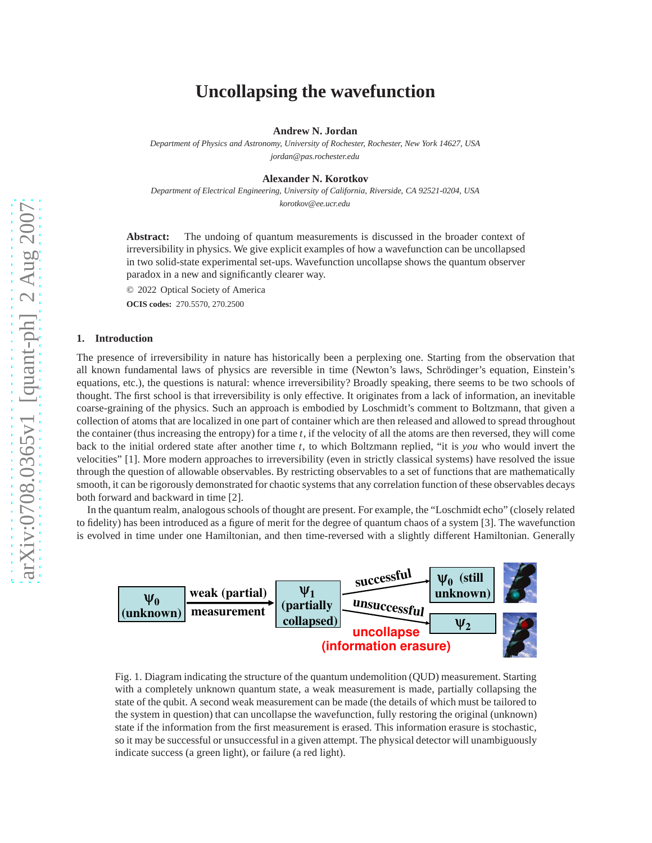# **Uncollapsing the wavefunction**

**Andrew N. Jordan**

*Department of Physics and Astronomy, University of Rochester, Rochester, New York 14627, USA jordan@pas.rochester.edu*

**Alexander N. Korotkov**

*Department of Electrical Engineering, University of California, Riverside, CA 92521-0204, USA korotkov@ee.ucr.edu*

**Abstract:** The undoing of quantum measurements is discussed in the broader context of irreversibility in physics. We give explicit examples of how a wavefunction can be uncollapsed in two solid-state experimental set-ups. Wavefunction uncollapse shows the quantum observer paradox in a new and significantly clearer way.

© 2022 Optical Society of America

**OCIS codes:** 270.5570, 270.2500

# **1. Introduction**

The presence of irreversibility in nature has historically been a perplexing one. Starting from the observation that all known fundamental laws of physics are reversible in time (Newton's laws, Schrödinger's equation, Einstein's equations, etc.), the questions is natural: whence irreversibility? Broadly speaking, there seems to be two schools of thought. The first school is that irreversibility is only effective. It originates from a lack of information, an inevitable coarse-graining of the physics. Such an approach is embodied by Loschmidt's comment to Boltzmann, that given a collection of atoms that are localized in one part of container which are then released and allowed to spread throughout the container (thus increasing the entropy) for a time *t*, if the velocity of all the atoms are then reversed, they will come back to the initial ordered state after another time *t*, to which Boltzmann replied, "it is *you* who would invert the velocities" [1]. More modern approaches to irreversibility (even in strictly classical systems) have resolved the issue through the question of allowable observables. By restricting observables to a set of functions that are mathematically smooth, it can be rigorously demonstrated for chaotic systems that any correlation function of these observables decays both forward and backward in time [2].

In the quantum realm, analogous schools of thought are present. For example, the "Loschmidt echo" (closely related to fidelity) has been introduced as a figure of merit for the degree of quantum chaos of a system [3]. The wavefunction is evolved in time under one Hamiltonian, and then time-reversed with a slightly different Hamiltonian. Generally



Fig. 1. Diagram indicating the structure of the quantum undemolition (QUD) measurement. Starting with a completely unknown quantum state, a weak measurement is made, partially collapsing the state of the qubit. A second weak measurement can be made (the details of which must be tailored to the system in question) that can uncollapse the wavefunction, fully restoring the original (unknown) state if the information from the first measurement is erased. This information erasure is stochastic, so it may be successful or unsuccessful in a given attempt. The physical detector will unambiguously indicate success (a green light), or failure (a red light).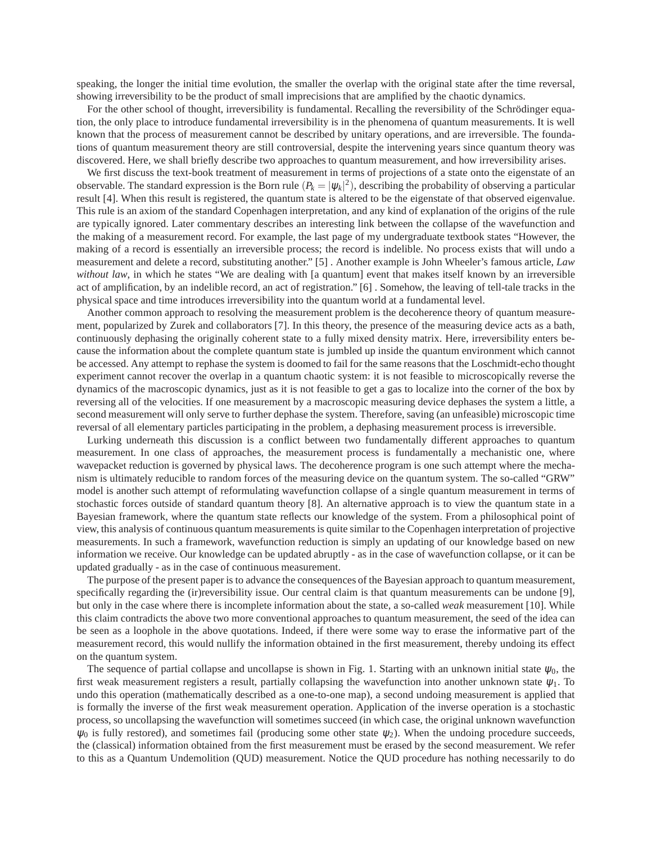speaking, the longer the initial time evolution, the smaller the overlap with the original state after the time reversal, showing irreversibility to be the product of small imprecisions that are amplified by the chaotic dynamics.

For the other school of thought, irreversibility is fundamental. Recalling the reversibility of the Schrödinger equation, the only place to introduce fundamental irreversibility is in the phenomena of quantum measurements. It is well known that the process of measurement cannot be described by unitary operations, and are irreversible. The foundations of quantum measurement theory are still controversial, despite the intervening years since quantum theory was discovered. Here, we shall briefly describe two approaches to quantum measurement, and how irreversibility arises.

We first discuss the text-book treatment of measurement in terms of projections of a state onto the eigenstate of an observable. The standard expression is the Born rule  $(P_k = |\psi_k|^2)$ , describing the probability of observing a particular result [4]. When this result is registered, the quantum state is altered to be the eigenstate of that observed eigenvalue. This rule is an axiom of the standard Copenhagen interpretation, and any kind of explanation of the origins of the rule are typically ignored. Later commentary describes an interesting link between the collapse of the wavefunction and the making of a measurement record. For example, the last page of my undergraduate textbook states "However, the making of a record is essentially an irreversible process; the record is indelible. No process exists that will undo a measurement and delete a record, substituting another." [5] . Another example is John Wheeler's famous article, *Law without law*, in which he states "We are dealing with [a quantum] event that makes itself known by an irreversible act of amplification, by an indelible record, an act of registration." [6] . Somehow, the leaving of tell-tale tracks in the physical space and time introduces irreversibility into the quantum world at a fundamental level.

Another common approach to resolving the measurement problem is the decoherence theory of quantum measurement, popularized by Zurek and collaborators [7]. In this theory, the presence of the measuring device acts as a bath, continuously dephasing the originally coherent state to a fully mixed density matrix. Here, irreversibility enters because the information about the complete quantum state is jumbled up inside the quantum environment which cannot be accessed. Any attempt to rephase the system is doomed to fail for the same reasons that the Loschmidt-echo thought experiment cannot recover the overlap in a quantum chaotic system: it is not feasible to microscopically reverse the dynamics of the macroscopic dynamics, just as it is not feasible to get a gas to localize into the corner of the box by reversing all of the velocities. If one measurement by a macroscopic measuring device dephases the system a little, a second measurement will only serve to further dephase the system. Therefore, saving (an unfeasible) microscopic time reversal of all elementary particles participating in the problem, a dephasing measurement process is irreversible.

Lurking underneath this discussion is a conflict between two fundamentally different approaches to quantum measurement. In one class of approaches, the measurement process is fundamentally a mechanistic one, where wavepacket reduction is governed by physical laws. The decoherence program is one such attempt where the mechanism is ultimately reducible to random forces of the measuring device on the quantum system. The so-called "GRW" model is another such attempt of reformulating wavefunction collapse of a single quantum measurement in terms of stochastic forces outside of standard quantum theory [8]. An alternative approach is to view the quantum state in a Bayesian framework, where the quantum state reflects our knowledge of the system. From a philosophical point of view, this analysis of continuous quantum measurements is quite similar to the Copenhagen interpretation of projective measurements. In such a framework, wavefunction reduction is simply an updating of our knowledge based on new information we receive. Our knowledge can be updated abruptly - as in the case of wavefunction collapse, or it can be updated gradually - as in the case of continuous measurement.

The purpose of the present paper is to advance the consequences of the Bayesian approach to quantum measurement, specifically regarding the (ir)reversibility issue. Our central claim is that quantum measurements can be undone [9], but only in the case where there is incomplete information about the state, a so-called *weak* measurement [10]. While this claim contradicts the above two more conventional approaches to quantum measurement, the seed of the idea can be seen as a loophole in the above quotations. Indeed, if there were some way to erase the informative part of the measurement record, this would nullify the information obtained in the first measurement, thereby undoing its effect on the quantum system.

The sequence of partial collapse and uncollapse is shown in Fig. 1. Starting with an unknown initial state  $\psi_0$ , the first weak measurement registers a result, partially collapsing the wavefunction into another unknown state  $\psi_1$ . To undo this operation (mathematically described as a one-to-one map), a second undoing measurement is applied that is formally the inverse of the first weak measurement operation. Application of the inverse operation is a stochastic process, so uncollapsing the wavefunction will sometimes succeed (in which case, the original unknown wavefunction  $\psi_0$  is fully restored), and sometimes fail (producing some other state  $\psi_2$ ). When the undoing procedure succeeds, the (classical) information obtained from the first measurement must be erased by the second measurement. We refer to this as a Quantum Undemolition (QUD) measurement. Notice the QUD procedure has nothing necessarily to do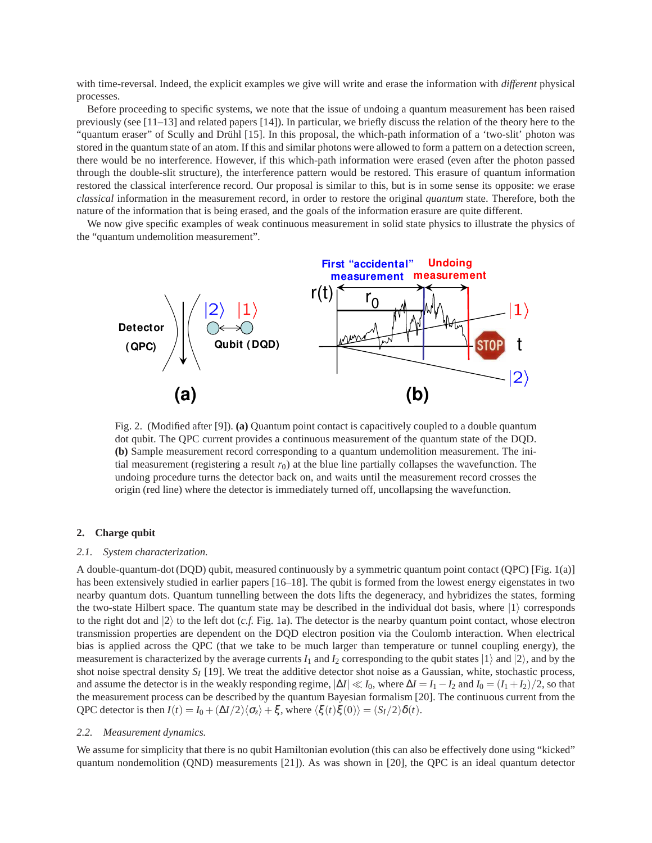with time-reversal. Indeed, the explicit examples we give will write and erase the information with *different* physical processes.

Before proceeding to specific systems, we note that the issue of undoing a quantum measurement has been raised previously (see [11–13] and related papers [14]). In particular, we briefly discuss the relation of the theory here to the "quantum eraser" of Scully and Drühl [15]. In this proposal, the which-path information of a 'two-slit' photon was stored in the quantum state of an atom. If this and similar photons were allowed to form a pattern on a detection screen, there would be no interference. However, if this which-path information were erased (even after the photon passed through the double-slit structure), the interference pattern would be restored. This erasure of quantum information restored the classical interference record. Our proposal is similar to this, but is in some sense its opposite: we erase *classical* information in the measurement record, in order to restore the original *quantum* state. Therefore, both the nature of the information that is being erased, and the goals of the information erasure are quite different.

We now give specific examples of weak continuous measurement in solid state physics to illustrate the physics of the "quantum undemolition measurement".



Fig. 2. (Modified after [9]). **(a)** Quantum point contact is capacitively coupled to a double quantum dot qubit. The QPC current provides a continuous measurement of the quantum state of the DQD. **(b)** Sample measurement record corresponding to a quantum undemolition measurement. The initial measurement (registering a result  $r<sub>0</sub>$ ) at the blue line partially collapses the wavefunction. The undoing procedure turns the detector back on, and waits until the measurement record crosses the origin (red line) where the detector is immediately turned off, uncollapsing the wavefunction.

# **2. Charge qubit**

#### *2.1. System characterization.*

A double-quantum-dot (DQD) qubit, measured continuously by a symmetric quantum point contact (QPC) [Fig. 1(a)] has been extensively studied in earlier papers [16–18]. The qubit is formed from the lowest energy eigenstates in two nearby quantum dots. Quantum tunnelling between the dots lifts the degeneracy, and hybridizes the states, forming the two-state Hilbert space. The quantum state may be described in the individual dot basis, where  $|1\rangle$  corresponds to the right dot and  $|2\rangle$  to the left dot (*c.f.* Fig. 1a). The detector is the nearby quantum point contact, whose electron transmission properties are dependent on the DQD electron position via the Coulomb interaction. When electrical bias is applied across the QPC (that we take to be much larger than temperature or tunnel coupling energy), the measurement is characterized by the average currents  $I_1$  and  $I_2$  corresponding to the qubit states  $|1\rangle$  and  $|2\rangle$ , and by the shot noise spectral density *S<sup>I</sup>* [19]. We treat the additive detector shot noise as a Gaussian, white, stochastic process, and assume the detector is in the weakly responding regime,  $|\Delta I| \ll I_0$ , where  $\Delta I = I_1 - I_2$  and  $I_0 = (I_1 + I_2)/2$ , so that the measurement process can be described by the quantum Bayesian formalism [20]. The continuous current from the QPC detector is then  $I(t) = I_0 + (\Delta I/2)\langle \sigma_z \rangle + \xi$ , where  $\langle \xi(t)\xi(0) \rangle = (S_I/2)\delta(t)$ .

### *2.2. Measurement dynamics.*

We assume for simplicity that there is no qubit Hamiltonian evolution (this can also be effectively done using "kicked" quantum nondemolition (QND) measurements [21]). As was shown in [20], the QPC is an ideal quantum detector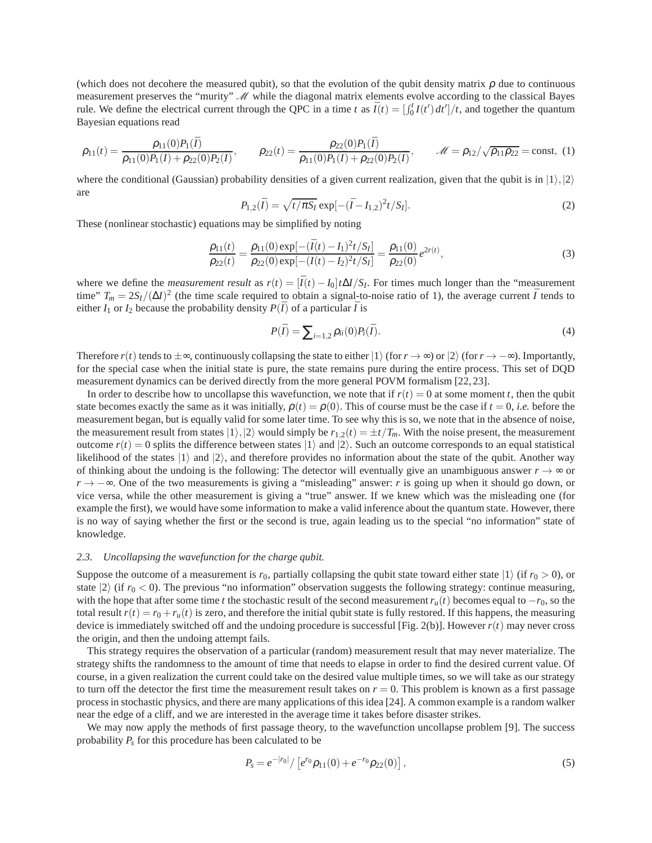(which does not decohere the measured qubit), so that the evolution of the qubit density matrix  $\rho$  due to continuous measurement preserves the "murity"  $\mathcal M$  while the diagonal matrix elements evolve according to the classical Bayes rule. We define the electrical current through the QPC in a time *t* as  $\bar{I}(t) = \int_0^t I(t') dt' / t$ , and together the quantum Bayesian equations read

$$
\rho_{11}(t) = \frac{\rho_{11}(0)P_1(\bar{I})}{\rho_{11}(0)P_1(\bar{I}) + \rho_{22}(0)P_2(\bar{I})}, \qquad \rho_{22}(t) = \frac{\rho_{22}(0)P_1(\bar{I})}{\rho_{11}(0)P_1(\bar{I}) + \rho_{22}(0)P_2(\bar{I})}, \qquad \mathcal{M} = \rho_{12}/\sqrt{\rho_{11}\rho_{22}} = \text{const}, (1)
$$

where the conditional (Gaussian) probability densities of a given current realization, given that the qubit is in  $|1\rangle,|2\rangle$ are

$$
P_{1,2}(\bar{I}) = \sqrt{t/\pi S_I} \exp[-(\bar{I} - I_{1,2})^2 t/S_I].
$$
\n(2)

These (nonlinear stochastic) equations may be simplified by noting

<span id="page-3-1"></span>
$$
\frac{\rho_{11}(t)}{\rho_{22}(t)} = \frac{\rho_{11}(0) \exp[-(\bar{I}(t) - I_1)^2 t / S_I]}{\rho_{22}(0) \exp[-(\bar{I}(t) - I_2)^2 t / S_I]} = \frac{\rho_{11}(0)}{\rho_{22}(0)} e^{2r(t)},
$$
\n(3)

where we define the *measurement result* as  $r(t) = [\bar{I}(t) - I_0]t\Delta I/S_I$ . For times much longer than the "measurement" time"  $T_m = 2S_I/(\Delta I)^2$  (the time scale required to obtain a signal-to-noise ratio of 1), the average current  $\bar{I}$  tends to either  $I_1$  or  $I_2$  because the probability density  $P(\bar{I})$  of a particular  $\bar{I}$  is

$$
P(\bar{I}) = \sum_{i=1,2} \rho_{ii}(0) P_i(\bar{I}).
$$
\n(4)

Therefore  $r(t)$  tends to  $\pm \infty$ , continuously collapsing the state to either  $|1\rangle$  (for  $r \to \infty$ ) or  $|2\rangle$  (for  $r \to -\infty$ ). Importantly, for the special case when the initial state is pure, the state remains pure during the entire process. This set of DQD measurement dynamics can be derived directly from the more general POVM formalism [22, 23].

In order to describe how to uncollapse this wavefunction, we note that if  $r(t) = 0$  at some moment *t*, then the qubit state becomes exactly the same as it was initially,  $\rho(t) = \rho(0)$ . This of course must be the case if  $t = 0$ , *i.e.* before the measurement began, but is equally valid for some later time. To see why this is so, we note that in the absence of noise, the measurement result from states  $|1\rangle,|2\rangle$  would simply be  $r_{1,2}(t) = \pm t/T_m$ . With the noise present, the measurement outcome  $r(t) = 0$  splits the difference between states  $|1\rangle$  and  $|2\rangle$ . Such an outcome corresponds to an equal statistical likelihood of the states  $|1\rangle$  and  $|2\rangle$ , and therefore provides no information about the state of the qubit. Another way of thinking about the undoing is the following: The detector will eventually give an unambiguous answer  $r \to \infty$  or *r* → −∞. One of the two measurements is giving a "misleading" answer: *r* is going up when it should go down, or vice versa, while the other measurement is giving a "true" answer. If we knew which was the misleading one (for example the first), we would have some information to make a valid inference about the quantum state. However, there is no way of saying whether the first or the second is true, again leading us to the special "no information" state of knowledge.

# *2.3. Uncollapsing the wavefunction for the charge qubit.*

Suppose the outcome of a measurement is  $r_0$ , partially collapsing the qubit state toward either state  $|1\rangle$  (if  $r_0 > 0$ ), or state  $|2\rangle$  (if  $r_0 < 0$ ). The previous "no information" observation suggests the following strategy: continue measuring, with the hope that after some time *t* the stochastic result of the second measurement  $r_u(t)$  becomes equal to  $-r_0$ , so the total result  $r(t) = r_0 + r_u(t)$  is zero, and therefore the initial qubit state is fully restored. If this happens, the measuring device is immediately switched off and the undoing procedure is successful [Fig. 2(b)]. However  $r(t)$  may never cross the origin, and then the undoing attempt fails.

This strategy requires the observation of a particular (random) measurement result that may never materialize. The strategy shifts the randomness to the amount of time that needs to elapse in order to find the desired current value. Of course, in a given realization the current could take on the desired value multiple times, so we will take as our strategy to turn off the detector the first time the measurement result takes on  $r = 0$ . This problem is known as a first passage process in stochastic physics, and there are many applications of this idea [24]. A common example is a random walker near the edge of a cliff, and we are interested in the average time it takes before disaster strikes.

We may now apply the methods of first passage theory, to the wavefunction uncollapse problem [9]. The success probability *P<sup>s</sup>* for this procedure has been calculated to be

<span id="page-3-0"></span>
$$
P_s = e^{-|r_0|} / [e^{r_0} \rho_{11}(0) + e^{-r_0} \rho_{22}(0)], \qquad (5)
$$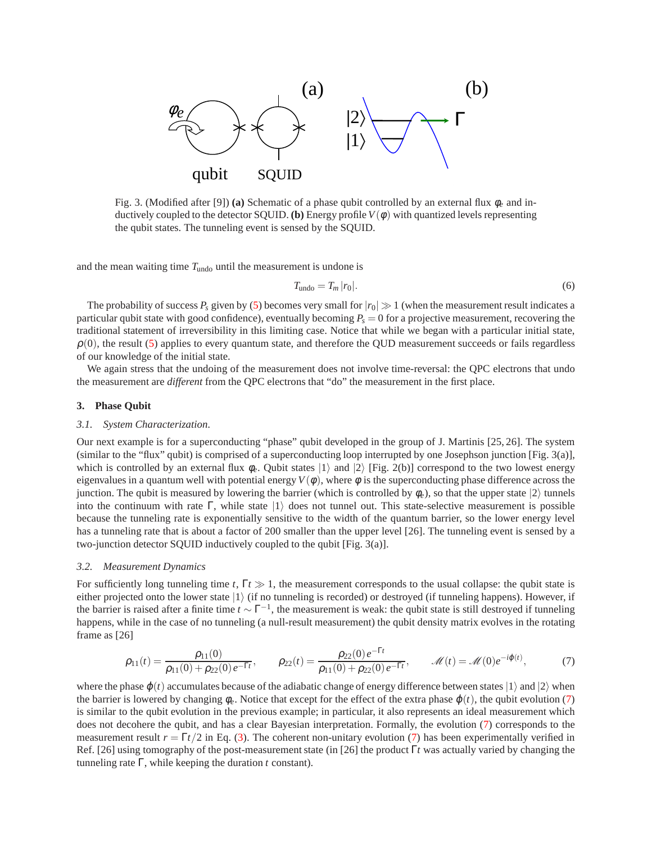

Fig. 3. (Modified after [9]) **(a)** Schematic of a phase qubit controlled by an external flux φ*<sup>e</sup>* and inductively coupled to the detector SQUID. **(b)** Energy profile  $V(\phi)$  with quantized levels representing the qubit states. The tunneling event is sensed by the SQUID.

and the mean waiting time  $T_{\text{undo}}$  until the measurement is undone is

$$
T_{\text{undo}} = T_m |r_0|.
$$
\n<sup>(6)</sup>

The probability of success  $P_s$  given by [\(5\)](#page-3-0) becomes very small for  $|r_0| \gg 1$  (when the measurement result indicates a particular qubit state with good confidence), eventually becoming  $P_s = 0$  for a projective measurement, recovering the traditional statement of irreversibility in this limiting case. Notice that while we began with a particular initial state,  $\rho(0)$ , the result [\(5\)](#page-3-0) applies to every quantum state, and therefore the QUD measurement succeeds or fails regardless of our knowledge of the initial state.

We again stress that the undoing of the measurement does not involve time-reversal: the QPC electrons that undo the measurement are *different* from the QPC electrons that "do" the measurement in the first place.

#### **3. Phase Qubit**

#### *3.1. System Characterization.*

Our next example is for a superconducting "phase" qubit developed in the group of J. Martinis [25, 26]. The system (similar to the "flux" qubit) is comprised of a superconducting loop interrupted by one Josephson junction [Fig. 3(a)], which is controlled by an external flux  $\phi_e$ . Qubit states  $|1\rangle$  and  $|2\rangle$  [Fig. 2(b)] correspond to the two lowest energy eigenvalues in a quantum well with potential energy  $V(\phi)$ , where  $\phi$  is the superconducting phase difference across the junction. The qubit is measured by lowering the barrier (which is controlled by  $\phi_e$ ), so that the upper state  $|2\rangle$  tunnels into the continuum with rate Γ, while state  $|1\rangle$  does not tunnel out. This state-selective measurement is possible because the tunneling rate is exponentially sensitive to the width of the quantum barrier, so the lower energy level has a tunneling rate that is about a factor of 200 smaller than the upper level [26]. The tunneling event is sensed by a two-junction detector SQUID inductively coupled to the qubit [Fig. 3(a)].

# *3.2. Measurement Dynamics*

For sufficiently long tunneling time  $t$ ,  $\Gamma t \gg 1$ , the measurement corresponds to the usual collapse: the qubit state is either projected onto the lower state  $|1\rangle$  (if no tunneling is recorded) or destroyed (if tunneling happens). However, if the barrier is raised after a finite time  $t \sim \Gamma^{-1}$ , the measurement is weak: the qubit state is still destroyed if tunneling happens, while in the case of no tunneling (a null-result measurement) the qubit density matrix evolves in the rotating frame as [26]

<span id="page-4-0"></span>
$$
\rho_{11}(t) = \frac{\rho_{11}(0)}{\rho_{11}(0) + \rho_{22}(0)e^{-\Gamma t}}, \qquad \rho_{22}(t) = \frac{\rho_{22}(0)e^{-\Gamma t}}{\rho_{11}(0) + \rho_{22}(0)e^{-\Gamma t}}, \qquad \mathcal{M}(t) = \mathcal{M}(0)e^{-i\varphi(t)}, \tag{7}
$$

where the phase  $\varphi(t)$  accumulates because of the adiabatic change of energy difference between states  $|1\rangle$  and  $|2\rangle$  when the barrier is lowered by changing  $\phi_e$ . Notice that except for the effect of the extra phase  $\phi(t)$ , the qubit evolution [\(7\)](#page-4-0) is similar to the qubit evolution in the previous example; in particular, it also represents an ideal measurement which does not decohere the qubit, and has a clear Bayesian interpretation. Formally, the evolution [\(7\)](#page-4-0) corresponds to the measurement result  $r = \Gamma t/2$  in Eq. [\(3\)](#page-3-1). The coherent non-unitary evolution [\(7\)](#page-4-0) has been experimentally verified in Ref. [26] using tomography of the post-measurement state (in [26] the product Γ*t* was actually varied by changing the tunneling rate Γ, while keeping the duration *t* constant).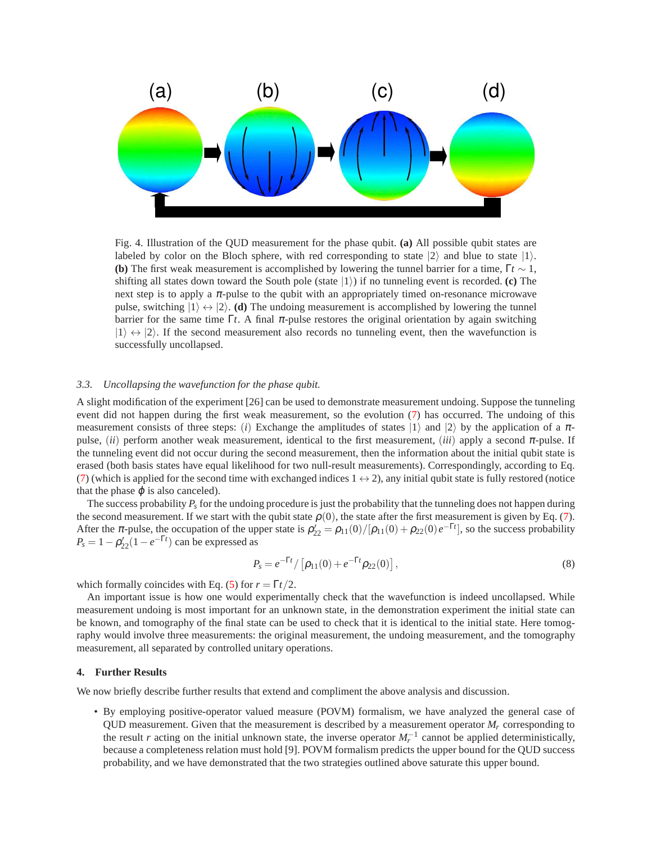

Fig. 4. Illustration of the QUD measurement for the phase qubit. **(a)** All possible qubit states are labeled by color on the Bloch sphere, with red corresponding to state  $|2\rangle$  and blue to state  $|1\rangle$ . **(b)** The first weak measurement is accomplished by lowering the tunnel barrier for a time,  $\Gamma t \sim 1$ , shifting all states down toward the South pole (state  $|1\rangle$ ) if no tunneling event is recorded. **(c)** The next step is to apply a  $\pi$ -pulse to the qubit with an appropriately timed on-resonance microwave pulse, switching  $|1\rangle \leftrightarrow |2\rangle$ . (**d**) The undoing measurement is accomplished by lowering the tunnel barrier for the same time Γ*t*. A final  $\pi$ -pulse restores the original orientation by again switching  $|1\rangle \leftrightarrow |2\rangle$ . If the second measurement also records no tunneling event, then the wavefunction is successfully uncollapsed.

# *3.3. Uncollapsing the wavefunction for the phase qubit.*

A slight modification of the experiment [26] can be used to demonstrate measurement undoing. Suppose the tunneling event did not happen during the first weak measurement, so the evolution [\(7\)](#page-4-0) has occurred. The undoing of this measurement consists of three steps: (*i*) Exchange the amplitudes of states  $|1\rangle$  and  $|2\rangle$  by the application of a  $\pi$ pulse, (*ii*) perform another weak measurement, identical to the first measurement, (*iii*) apply a second <sup>π</sup>-pulse. If the tunneling event did not occur during the second measurement, then the information about the initial qubit state is erased (both basis states have equal likelihood for two null-result measurements). Correspondingly, according to Eq. [\(7\)](#page-4-0) (which is applied for the second time with exchanged indices  $1 \leftrightarrow 2$ ), any initial qubit state is fully restored (notice that the phase  $\varphi$  is also canceled).

The success probability  $P_s$  for the undoing procedure is just the probability that the tunneling does not happen during the second measurement. If we start with the qubit state  $\rho(0)$ , the state after the first measurement is given by Eq. [\(7\)](#page-4-0). After the  $\pi$ -pulse, the occupation of the upper state is  $\rho'_{22} = \rho_{11}(0)/[\rho_{11}(0) + \rho_{22}(0)e^{-\Gamma t}]$ , so the success probability  $P_s = 1 - \rho'_{22}(1 - e^{-\Gamma t})$  can be expressed as

$$
P_s = e^{-\Gamma t} / \left[ \rho_{11}(0) + e^{-\Gamma t} \rho_{22}(0) \right],
$$
\n(8)

which formally coincides with Eq. [\(5\)](#page-3-0) for  $r = \Gamma t/2$ .

An important issue is how one would experimentally check that the wavefunction is indeed uncollapsed. While measurement undoing is most important for an unknown state, in the demonstration experiment the initial state can be known, and tomography of the final state can be used to check that it is identical to the initial state. Here tomography would involve three measurements: the original measurement, the undoing measurement, and the tomography measurement, all separated by controlled unitary operations.

# **4. Further Results**

We now briefly describe further results that extend and compliment the above analysis and discussion.

• By employing positive-operator valued measure (POVM) formalism, we have analyzed the general case of QUD measurement. Given that the measurement is described by a measurement operator  $M_r$  corresponding to the result *r* acting on the initial unknown state, the inverse operator  $M_r^{-1}$  cannot be applied deterministically, because a completeness relation must hold [9]. POVM formalism predicts the upper bound for the QUD success probability, and we have demonstrated that the two strategies outlined above saturate this upper bound.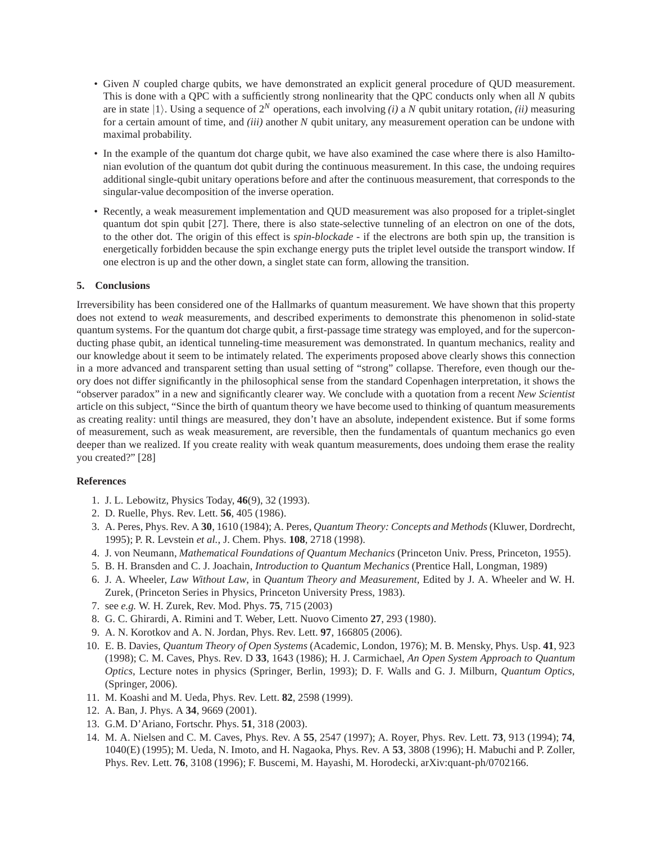- Given *N* coupled charge qubits, we have demonstrated an explicit general procedure of QUD measurement. This is done with a QPC with a sufficiently strong nonlinearity that the QPC conducts only when all *N* qubits are in state  $|1\rangle$ . Using a sequence of  $2^N$  operations, each involving *(i)* a *N* qubit unitary rotation, *(ii)* measuring for a certain amount of time, and *(iii)* another *N* qubit unitary, any measurement operation can be undone with maximal probability.
- In the example of the quantum dot charge qubit, we have also examined the case where there is also Hamiltonian evolution of the quantum dot qubit during the continuous measurement. In this case, the undoing requires additional single-qubit unitary operations before and after the continuous measurement, that corresponds to the singular-value decomposition of the inverse operation.
- Recently, a weak measurement implementation and QUD measurement was also proposed for a triplet-singlet quantum dot spin qubit [27]. There, there is also state-selective tunneling of an electron on one of the dots, to the other dot. The origin of this effect is *spin-blockade* - if the electrons are both spin up, the transition is energetically forbidden because the spin exchange energy puts the triplet level outside the transport window. If one electron is up and the other down, a singlet state can form, allowing the transition.

# **5. Conclusions**

Irreversibility has been considered one of the Hallmarks of quantum measurement. We have shown that this property does not extend to *weak* measurements, and described experiments to demonstrate this phenomenon in solid-state quantum systems. For the quantum dot charge qubit, a first-passage time strategy was employed, and for the superconducting phase qubit, an identical tunneling-time measurement was demonstrated. In quantum mechanics, reality and our knowledge about it seem to be intimately related. The experiments proposed above clearly shows this connection in a more advanced and transparent setting than usual setting of "strong" collapse. Therefore, even though our theory does not differ significantly in the philosophical sense from the standard Copenhagen interpretation, it shows the "observer paradox" in a new and significantly clearer way. We conclude with a quotation from a recent *New Scientist* article on this subject, "Since the birth of quantum theory we have become used to thinking of quantum measurements as creating reality: until things are measured, they don't have an absolute, independent existence. But if some forms of measurement, such as weak measurement, are reversible, then the fundamentals of quantum mechanics go even deeper than we realized. If you create reality with weak quantum measurements, does undoing them erase the reality you created?" [28]

# **References**

- 1. J. L. Lebowitz, Physics Today, **46**(9), 32 (1993).
- 2. D. Ruelle, Phys. Rev. Lett. **56**, 405 (1986).
- 3. A. Peres, Phys. Rev. A **30**, 1610 (1984); A. Peres, *Quantum Theory: Concepts and Methods*(Kluwer, Dordrecht, 1995); P. R. Levstein *et al.*, J. Chem. Phys. **108**, 2718 (1998).
- 4. J. von Neumann, *Mathematical Foundations of Quantum Mechanics* (Princeton Univ. Press, Princeton, 1955).
- 5. B. H. Bransden and C. J. Joachain, *Introduction to Quantum Mechanics* (Prentice Hall, Longman, 1989)
- 6. J. A. Wheeler, *Law Without Law*, in *Quantum Theory and Measurement*, Edited by J. A. Wheeler and W. H. Zurek, (Princeton Series in Physics, Princeton University Press, 1983).
- 7. see *e.g.* W. H. Zurek, Rev. Mod. Phys. **75**, 715 (2003)
- 8. G. C. Ghirardi, A. Rimini and T. Weber, Lett. Nuovo Cimento **27**, 293 (1980).
- 9. A. N. Korotkov and A. N. Jordan, Phys. Rev. Lett. **97**, 166805 (2006).
- 10. E. B. Davies, *Quantum Theory of Open Systems* (Academic, London, 1976); M. B. Mensky, Phys. Usp. **41**, 923 (1998); C. M. Caves, Phys. Rev. D **33**, 1643 (1986); H. J. Carmichael, *An Open System Approach to Quantum Optics*, Lecture notes in physics (Springer, Berlin, 1993); D. F. Walls and G. J. Milburn, *Quantum Optics*, (Springer, 2006).
- 11. M. Koashi and M. Ueda, Phys. Rev. Lett. **82**, 2598 (1999).
- 12. A. Ban, J. Phys. A **34**, 9669 (2001).
- 13. G.M. D'Ariano, Fortschr. Phys. **51**, 318 (2003).
- 14. M. A. Nielsen and C. M. Caves, Phys. Rev. A **55**, 2547 (1997); A. Royer, Phys. Rev. Lett. **73**, 913 (1994); **74**, 1040(E) (1995); M. Ueda, N. Imoto, and H. Nagaoka, Phys. Rev. A **53**, 3808 (1996); H. Mabuchi and P. Zoller, Phys. Rev. Lett. **76**, 3108 (1996); F. Buscemi, M. Hayashi, M. Horodecki, arXiv:quant-ph/0702166.